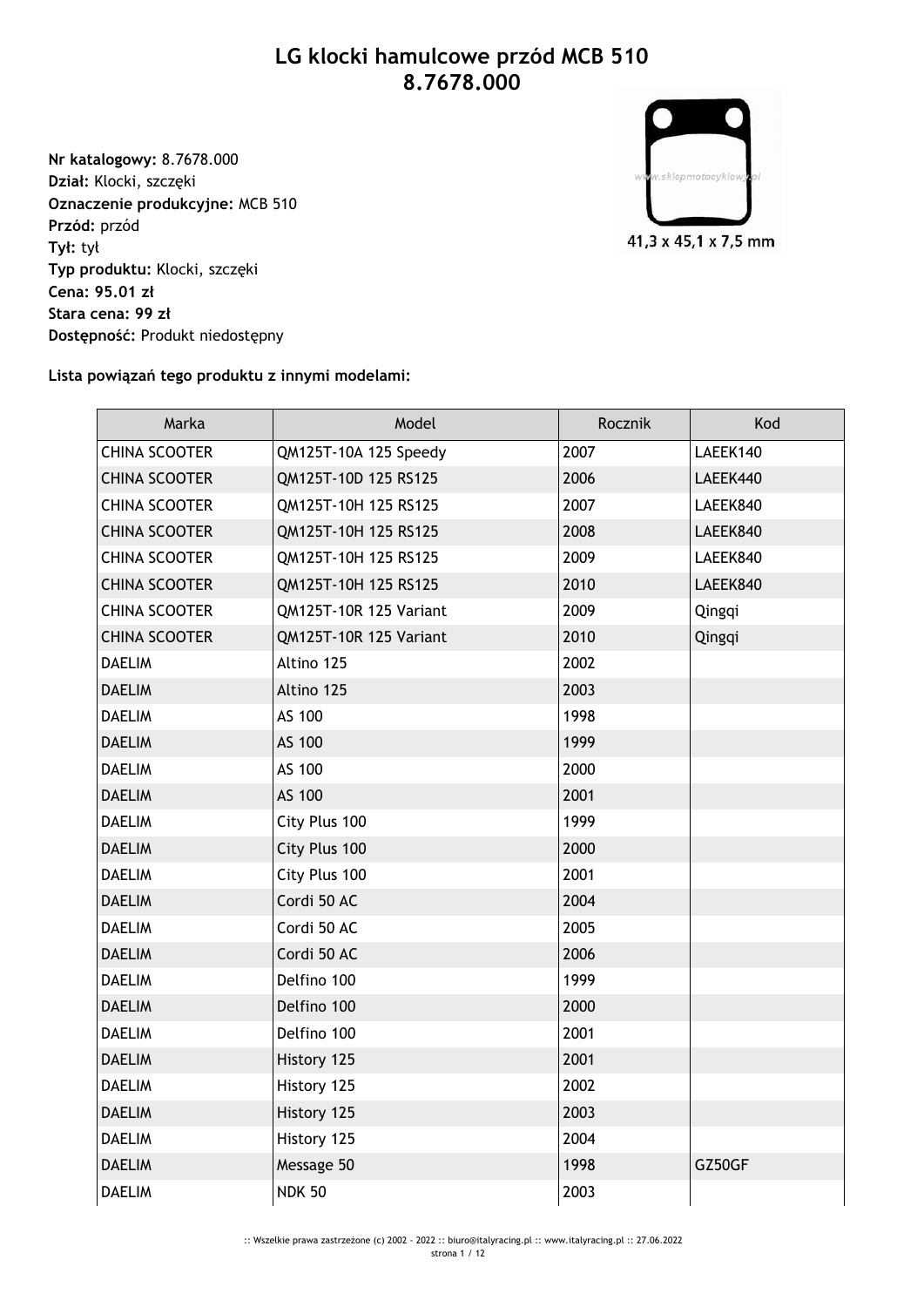## **LG klocki hamulcowe przód MCB 510 8.7678.000**

**Nr katalogowy:** 8.7678.000 **Dział:** Klocki, szczęki **Oznaczenie produkcyjne:** MCB 510 **Przód:** przód **Tył:** tył **Typ produktu:** Klocki, szczęki **Cena: 95.01 zł Stara cena: 99 zł Dostępność:** Produkt niedostępny



## **Lista powiązań tego produktu z innymi modelami:**

| Marka                | Model                  | Rocznik | Kod      |
|----------------------|------------------------|---------|----------|
| <b>CHINA SCOOTER</b> | QM125T-10A 125 Speedy  | 2007    | LAEEK140 |
| <b>CHINA SCOOTER</b> | QM125T-10D 125 RS125   | 2006    | LAEEK440 |
| <b>CHINA SCOOTER</b> | QM125T-10H 125 RS125   | 2007    | LAEEK840 |
| <b>CHINA SCOOTER</b> | QM125T-10H 125 RS125   | 2008    | LAEEK840 |
| <b>CHINA SCOOTER</b> | QM125T-10H 125 RS125   | 2009    | LAEEK840 |
| <b>CHINA SCOOTER</b> | QM125T-10H 125 RS125   | 2010    | LAEEK840 |
| <b>CHINA SCOOTER</b> | QM125T-10R 125 Variant | 2009    | Qingqi   |
| <b>CHINA SCOOTER</b> | QM125T-10R 125 Variant | 2010    | Qingqi   |
| <b>DAELIM</b>        | Altino 125             | 2002    |          |
| <b>DAELIM</b>        | Altino 125             | 2003    |          |
| <b>DAELIM</b>        | AS 100                 | 1998    |          |
| <b>DAELIM</b>        | AS 100                 | 1999    |          |
| <b>DAELIM</b>        | AS 100                 | 2000    |          |
| <b>DAELIM</b>        | AS 100                 | 2001    |          |
| <b>DAELIM</b>        | City Plus 100          | 1999    |          |
| <b>DAELIM</b>        | City Plus 100          | 2000    |          |
| <b>DAELIM</b>        | City Plus 100          | 2001    |          |
| <b>DAELIM</b>        | Cordi 50 AC            | 2004    |          |
| <b>DAELIM</b>        | Cordi 50 AC            | 2005    |          |
| <b>DAELIM</b>        | Cordi 50 AC            | 2006    |          |
| <b>DAELIM</b>        | Delfino 100            | 1999    |          |
| <b>DAELIM</b>        | Delfino 100            | 2000    |          |
| <b>DAELIM</b>        | Delfino 100            | 2001    |          |
| <b>DAELIM</b>        | History 125            | 2001    |          |
| <b>DAELIM</b>        | History 125            | 2002    |          |
| <b>DAELIM</b>        | History 125            | 2003    |          |
| <b>DAELIM</b>        | History 125            | 2004    |          |
| <b>DAELIM</b>        | Message 50             | 1998    | GZ50GF   |
| <b>DAELIM</b>        | <b>NDK 50</b>          | 2003    |          |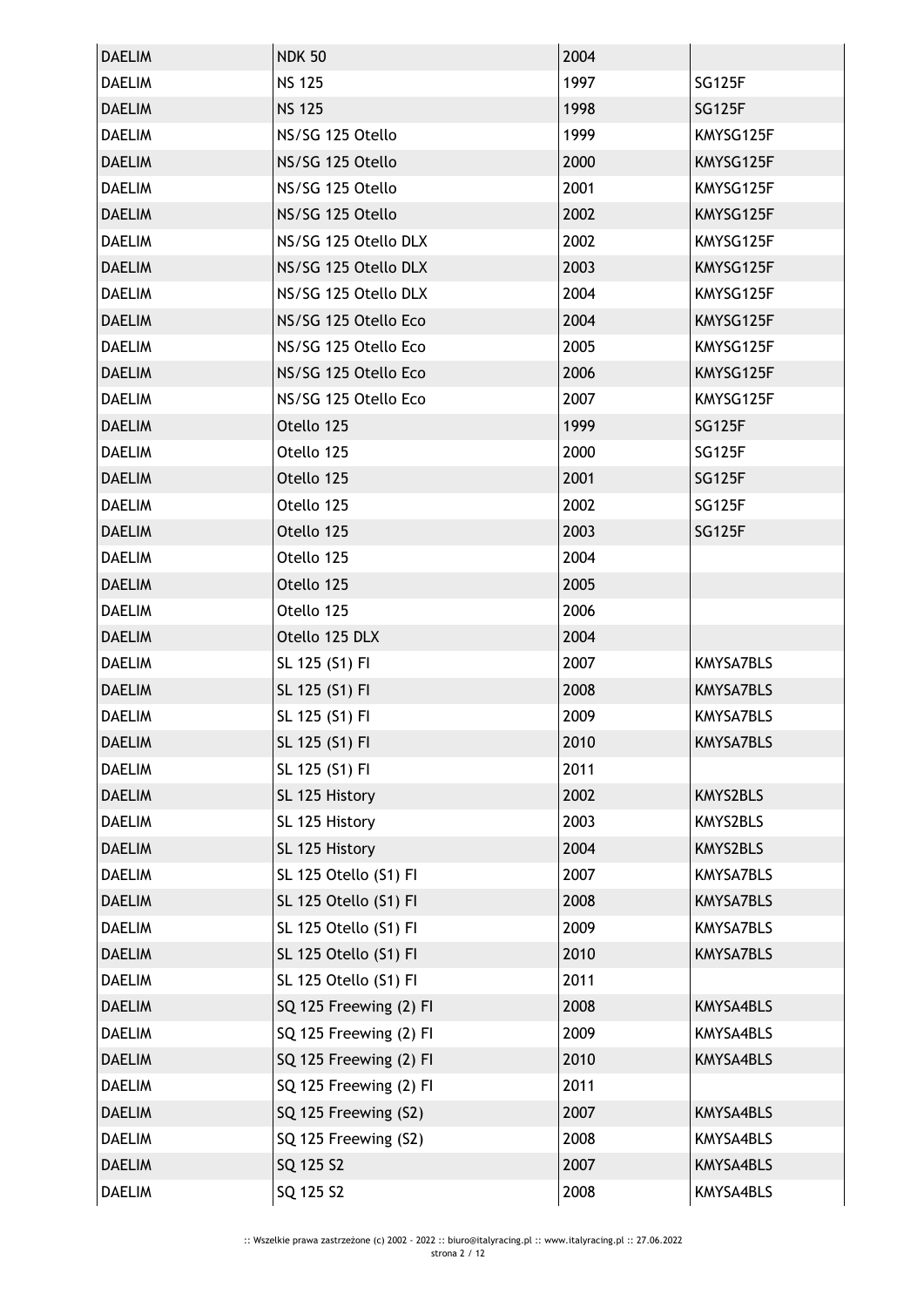| <b>DAELIM</b> | <b>NDK 50</b>          | 2004 |                  |
|---------------|------------------------|------|------------------|
| <b>DAELIM</b> | <b>NS 125</b>          | 1997 | <b>SG125F</b>    |
| <b>DAELIM</b> | <b>NS 125</b>          | 1998 | <b>SG125F</b>    |
| <b>DAELIM</b> | NS/SG 125 Otello       | 1999 | KMYSG125F        |
| <b>DAELIM</b> | NS/SG 125 Otello       | 2000 | KMYSG125F        |
| <b>DAELIM</b> | NS/SG 125 Otello       | 2001 | KMYSG125F        |
| <b>DAELIM</b> | NS/SG 125 Otello       | 2002 | KMYSG125F        |
| <b>DAELIM</b> | NS/SG 125 Otello DLX   | 2002 | KMYSG125F        |
| <b>DAELIM</b> | NS/SG 125 Otello DLX   | 2003 | KMYSG125F        |
| <b>DAELIM</b> | NS/SG 125 Otello DLX   | 2004 | KMYSG125F        |
| <b>DAELIM</b> | NS/SG 125 Otello Eco   | 2004 | KMYSG125F        |
| <b>DAELIM</b> | NS/SG 125 Otello Eco   | 2005 | KMYSG125F        |
| <b>DAELIM</b> | NS/SG 125 Otello Eco   | 2006 | KMYSG125F        |
| <b>DAELIM</b> | NS/SG 125 Otello Eco   | 2007 | KMYSG125F        |
| <b>DAELIM</b> | Otello 125             | 1999 | <b>SG125F</b>    |
| <b>DAELIM</b> | Otello 125             | 2000 | <b>SG125F</b>    |
| <b>DAELIM</b> | Otello 125             | 2001 | <b>SG125F</b>    |
| <b>DAELIM</b> | Otello 125             | 2002 | <b>SG125F</b>    |
| <b>DAELIM</b> | Otello 125             | 2003 | <b>SG125F</b>    |
| <b>DAELIM</b> | Otello 125             | 2004 |                  |
| <b>DAELIM</b> | Otello 125             | 2005 |                  |
| <b>DAELIM</b> | Otello 125             | 2006 |                  |
| <b>DAELIM</b> | Otello 125 DLX         | 2004 |                  |
| <b>DAELIM</b> | SL 125 (S1) FI         | 2007 | <b>KMYSA7BLS</b> |
| <b>DAELIM</b> | SL 125 (S1) FI         | 2008 | KMYSA7BLS        |
| <b>DAELIM</b> | SL 125 (S1) FI         | 2009 | <b>KMYSA7BLS</b> |
| <b>DAELIM</b> | SL 125 (S1) FI         | 2010 | KMYSA7BLS        |
| <b>DAELIM</b> | SL 125 (S1) FI         | 2011 |                  |
| <b>DAELIM</b> | SL 125 History         | 2002 | KMYS2BLS         |
| <b>DAELIM</b> | SL 125 History         | 2003 | KMYS2BLS         |
| <b>DAELIM</b> | SL 125 History         | 2004 | KMYS2BLS         |
| <b>DAELIM</b> | SL 125 Otello (S1) FI  | 2007 | KMYSA7BLS        |
| <b>DAELIM</b> | SL 125 Otello (S1) FI  | 2008 | KMYSA7BLS        |
| <b>DAELIM</b> | SL 125 Otello (S1) FI  | 2009 | KMYSA7BLS        |
| <b>DAELIM</b> | SL 125 Otello (S1) FI  | 2010 | KMYSA7BLS        |
| <b>DAELIM</b> | SL 125 Otello (S1) FI  | 2011 |                  |
| <b>DAELIM</b> | SQ 125 Freewing (2) FI | 2008 | KMYSA4BLS        |
| <b>DAELIM</b> | SQ 125 Freewing (2) FI | 2009 | KMYSA4BLS        |
| <b>DAELIM</b> | SQ 125 Freewing (2) FI | 2010 | KMYSA4BLS        |
| <b>DAELIM</b> | SQ 125 Freewing (2) FI | 2011 |                  |
| <b>DAELIM</b> | SQ 125 Freewing (S2)   | 2007 | KMYSA4BLS        |
| <b>DAELIM</b> | SQ 125 Freewing (S2)   | 2008 | KMYSA4BLS        |
| <b>DAELIM</b> | SQ 125 S2              | 2007 | KMYSA4BLS        |
| <b>DAELIM</b> | SQ 125 S2              | 2008 | KMYSA4BLS        |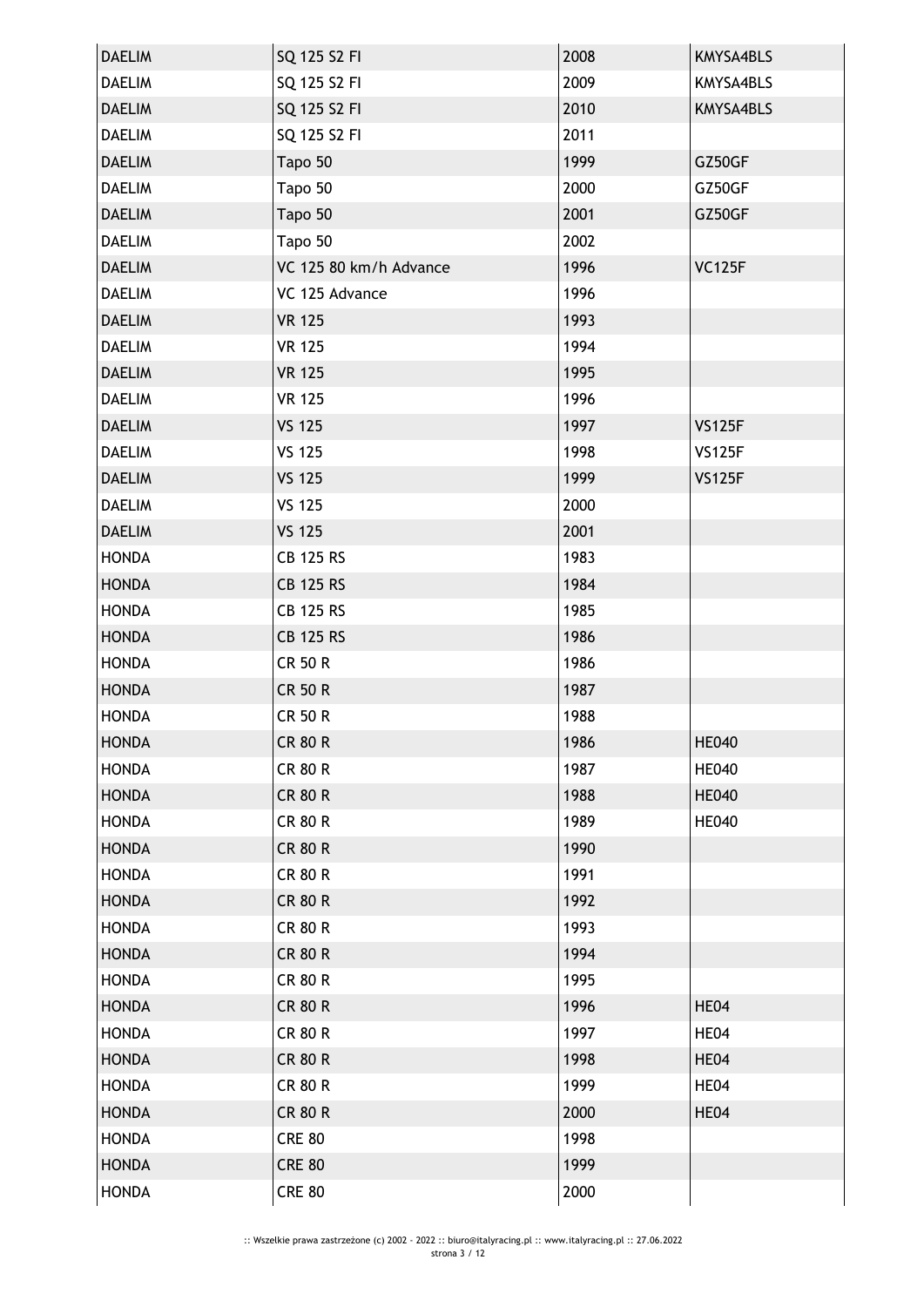| <b>DAELIM</b> | SQ 125 S2 FI           | 2008 | KMYSA4BLS     |
|---------------|------------------------|------|---------------|
| <b>DAELIM</b> | SQ 125 S2 FI           | 2009 | KMYSA4BLS     |
| <b>DAELIM</b> | SQ 125 S2 FI           | 2010 | KMYSA4BLS     |
| <b>DAELIM</b> | SQ 125 S2 FI           | 2011 |               |
| <b>DAELIM</b> | Tapo 50                | 1999 | GZ50GF        |
| <b>DAELIM</b> | Tapo 50                | 2000 | GZ50GF        |
| <b>DAELIM</b> | Tapo 50                | 2001 | GZ50GF        |
| <b>DAELIM</b> | Tapo 50                | 2002 |               |
| <b>DAELIM</b> | VC 125 80 km/h Advance | 1996 | <b>VC125F</b> |
| <b>DAELIM</b> | VC 125 Advance         | 1996 |               |
| <b>DAELIM</b> | <b>VR 125</b>          | 1993 |               |
| <b>DAELIM</b> | <b>VR 125</b>          | 1994 |               |
| <b>DAELIM</b> | <b>VR 125</b>          | 1995 |               |
| <b>DAELIM</b> | <b>VR 125</b>          | 1996 |               |
| <b>DAELIM</b> | <b>VS 125</b>          | 1997 | <b>VS125F</b> |
| <b>DAELIM</b> | <b>VS 125</b>          | 1998 | <b>VS125F</b> |
| <b>DAELIM</b> | <b>VS 125</b>          | 1999 | <b>VS125F</b> |
| <b>DAELIM</b> | <b>VS 125</b>          | 2000 |               |
| <b>DAELIM</b> | <b>VS 125</b>          | 2001 |               |
| <b>HONDA</b>  | <b>CB 125 RS</b>       | 1983 |               |
| <b>HONDA</b>  | <b>CB 125 RS</b>       | 1984 |               |
| <b>HONDA</b>  | <b>CB 125 RS</b>       | 1985 |               |
| <b>HONDA</b>  | <b>CB 125 RS</b>       | 1986 |               |
| <b>HONDA</b>  | <b>CR 50 R</b>         | 1986 |               |
| <b>HONDA</b>  | <b>CR 50 R</b>         | 1987 |               |
| <b>HONDA</b>  | <b>CR 50 R</b>         | 1988 |               |
| <b>HONDA</b>  | <b>CR 80 R</b>         | 1986 | <b>HE040</b>  |
| <b>HONDA</b>  | <b>CR 80 R</b>         | 1987 | <b>HE040</b>  |
| <b>HONDA</b>  | <b>CR 80 R</b>         | 1988 | <b>HE040</b>  |
| <b>HONDA</b>  | <b>CR 80 R</b>         | 1989 | <b>HE040</b>  |
| <b>HONDA</b>  | <b>CR 80 R</b>         | 1990 |               |
| <b>HONDA</b>  | <b>CR 80 R</b>         | 1991 |               |
| <b>HONDA</b>  | <b>CR 80 R</b>         | 1992 |               |
| <b>HONDA</b>  | <b>CR 80 R</b>         | 1993 |               |
| <b>HONDA</b>  | <b>CR 80 R</b>         | 1994 |               |
| <b>HONDA</b>  | <b>CR 80 R</b>         | 1995 |               |
| <b>HONDA</b>  | <b>CR 80 R</b>         | 1996 | HE04          |
| <b>HONDA</b>  | <b>CR 80 R</b>         | 1997 | HE04          |
| <b>HONDA</b>  | <b>CR 80 R</b>         | 1998 | HE04          |
| <b>HONDA</b>  | <b>CR 80 R</b>         | 1999 | HE04          |
| <b>HONDA</b>  | <b>CR 80 R</b>         | 2000 | HE04          |
| <b>HONDA</b>  | <b>CRE 80</b>          | 1998 |               |
| <b>HONDA</b>  | <b>CRE 80</b>          | 1999 |               |
| <b>HONDA</b>  | <b>CRE 80</b>          | 2000 |               |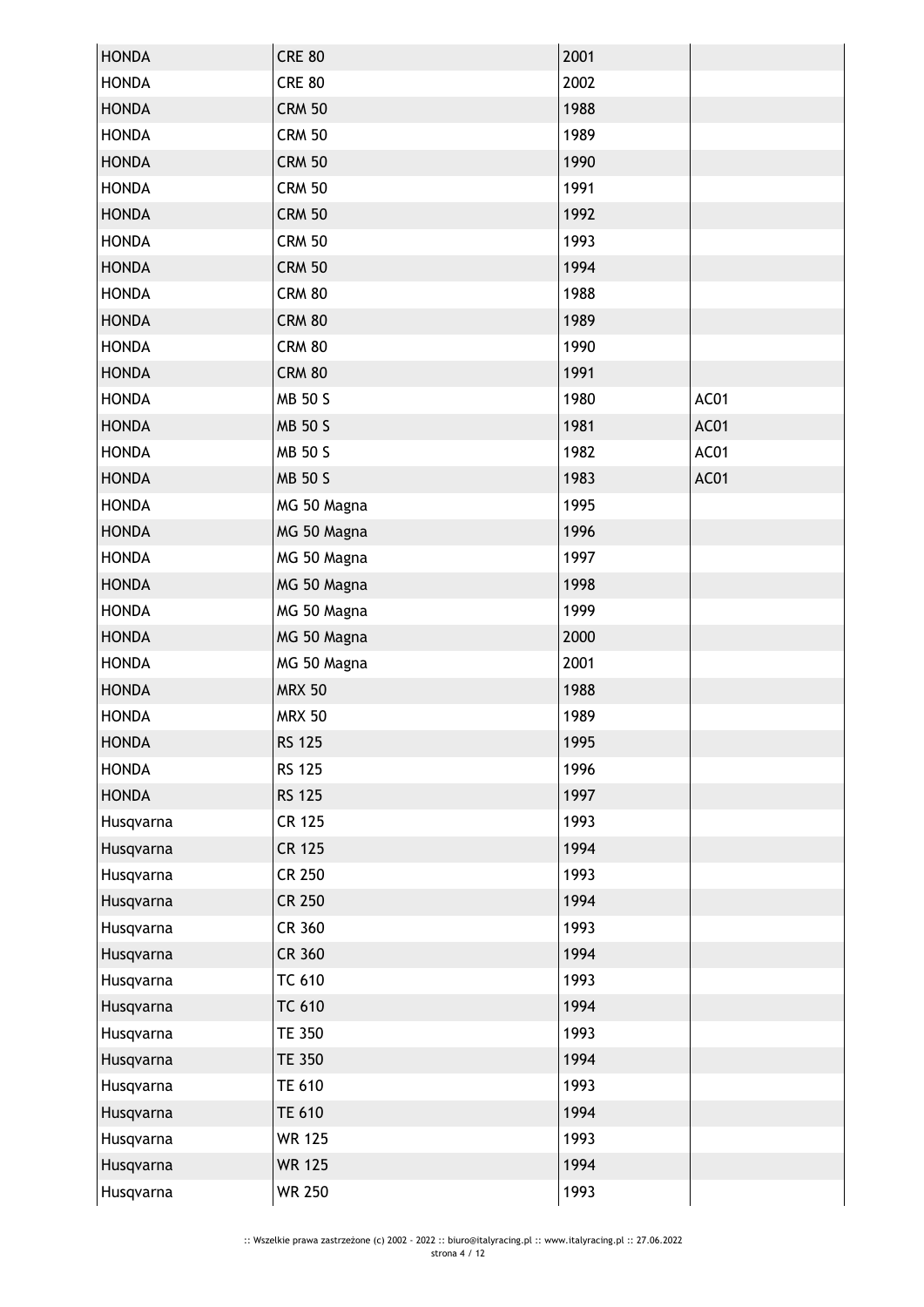| <b>HONDA</b> | <b>CRE 80</b> | 2001 |      |
|--------------|---------------|------|------|
| <b>HONDA</b> | <b>CRE 80</b> | 2002 |      |
| <b>HONDA</b> | <b>CRM 50</b> | 1988 |      |
| <b>HONDA</b> | <b>CRM 50</b> | 1989 |      |
| <b>HONDA</b> | <b>CRM 50</b> | 1990 |      |
| <b>HONDA</b> | <b>CRM 50</b> | 1991 |      |
| <b>HONDA</b> | <b>CRM 50</b> | 1992 |      |
| <b>HONDA</b> | <b>CRM 50</b> | 1993 |      |
| <b>HONDA</b> | <b>CRM 50</b> | 1994 |      |
| <b>HONDA</b> | <b>CRM 80</b> | 1988 |      |
| <b>HONDA</b> | <b>CRM 80</b> | 1989 |      |
| <b>HONDA</b> | <b>CRM 80</b> | 1990 |      |
| <b>HONDA</b> | <b>CRM 80</b> | 1991 |      |
| <b>HONDA</b> | MB 50 S       | 1980 | AC01 |
| <b>HONDA</b> | MB 50 S       | 1981 | AC01 |
| <b>HONDA</b> | MB 50 S       | 1982 | AC01 |
| <b>HONDA</b> | MB 50 S       | 1983 | AC01 |
| <b>HONDA</b> | MG 50 Magna   | 1995 |      |
| <b>HONDA</b> | MG 50 Magna   | 1996 |      |
| <b>HONDA</b> | MG 50 Magna   | 1997 |      |
| <b>HONDA</b> | MG 50 Magna   | 1998 |      |
| <b>HONDA</b> | MG 50 Magna   | 1999 |      |
| <b>HONDA</b> | MG 50 Magna   | 2000 |      |
| <b>HONDA</b> | MG 50 Magna   | 2001 |      |
| <b>HONDA</b> | <b>MRX 50</b> | 1988 |      |
| <b>HONDA</b> | <b>MRX 50</b> | 1989 |      |
| <b>HONDA</b> | <b>RS 125</b> | 1995 |      |
| <b>HONDA</b> | <b>RS 125</b> | 1996 |      |
| <b>HONDA</b> | <b>RS 125</b> | 1997 |      |
| Husqvarna    | <b>CR 125</b> | 1993 |      |
| Husqvarna    | <b>CR 125</b> | 1994 |      |
| Husqvarna    | <b>CR 250</b> | 1993 |      |
| Husqvarna    | <b>CR 250</b> | 1994 |      |
| Husqvarna    | CR 360        | 1993 |      |
| Husqvarna    | CR 360        | 1994 |      |
| Husqvarna    | <b>TC 610</b> | 1993 |      |
| Husqvarna    | <b>TC 610</b> | 1994 |      |
| Husqvarna    | <b>TE 350</b> | 1993 |      |
| Husqvarna    | <b>TE 350</b> | 1994 |      |
| Husqvarna    | <b>TE 610</b> | 1993 |      |
| Husqvarna    | <b>TE 610</b> | 1994 |      |
| Husqvarna    | <b>WR 125</b> | 1993 |      |
| Husqvarna    | <b>WR 125</b> | 1994 |      |
| Husqvarna    | <b>WR 250</b> | 1993 |      |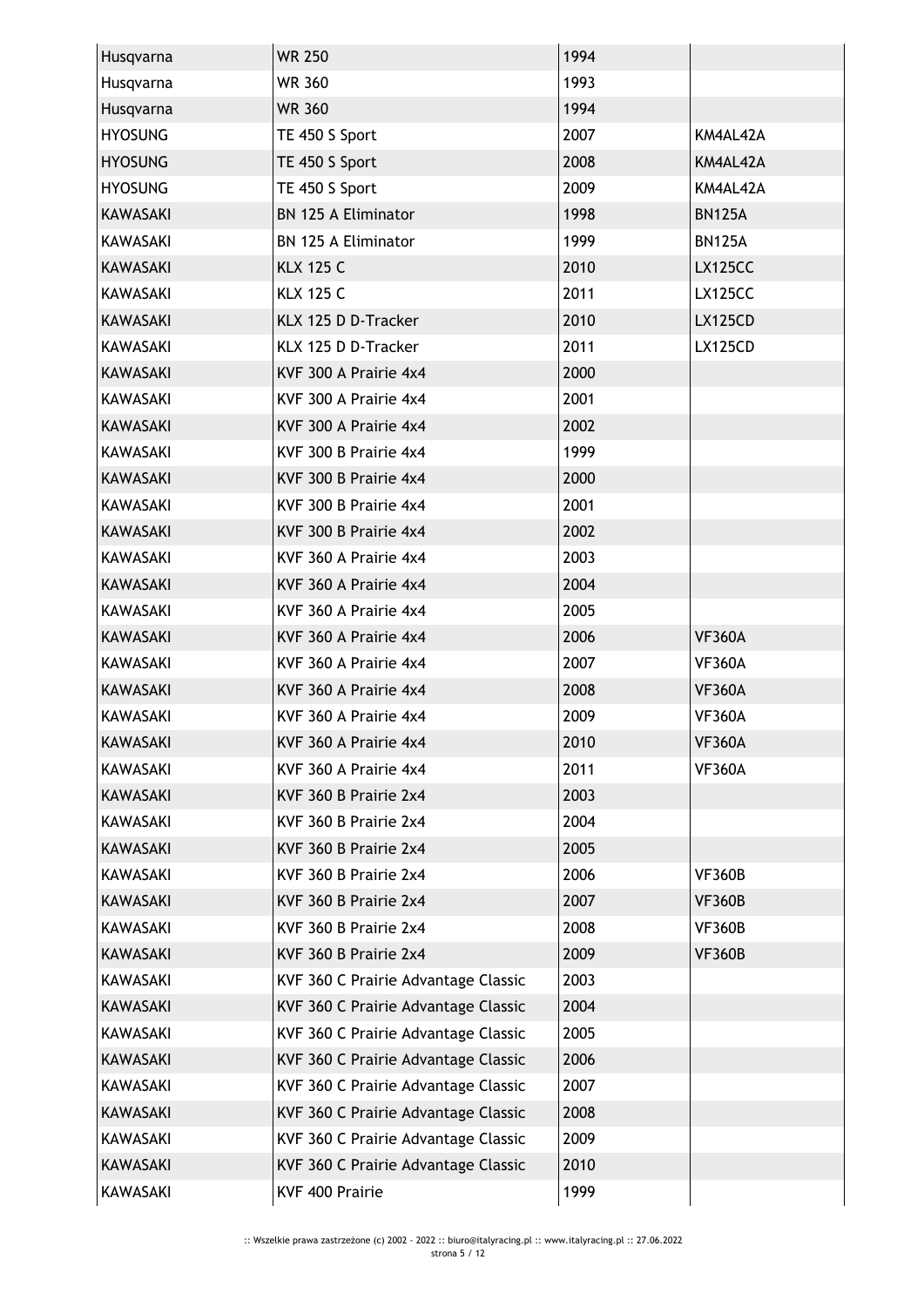| Husqvarna       | <b>WR 250</b>                       | 1994 |                |
|-----------------|-------------------------------------|------|----------------|
| Husqvarna       | <b>WR 360</b>                       | 1993 |                |
| Husqvarna       | <b>WR 360</b>                       | 1994 |                |
| <b>HYOSUNG</b>  | TE 450 S Sport                      | 2007 | KM4AL42A       |
| <b>HYOSUNG</b>  | TE 450 S Sport                      | 2008 | KM4AL42A       |
| <b>HYOSUNG</b>  | TE 450 S Sport                      | 2009 | KM4AL42A       |
| <b>KAWASAKI</b> | <b>BN 125 A Eliminator</b>          | 1998 | <b>BN125A</b>  |
| <b>KAWASAKI</b> | <b>BN 125 A Eliminator</b>          | 1999 | <b>BN125A</b>  |
| <b>KAWASAKI</b> | <b>KLX 125 C</b>                    | 2010 | <b>LX125CC</b> |
| <b>KAWASAKI</b> | <b>KLX 125 C</b>                    | 2011 | <b>LX125CC</b> |
| <b>KAWASAKI</b> | KLX 125 D D-Tracker                 | 2010 | <b>LX125CD</b> |
| <b>KAWASAKI</b> | KLX 125 D D-Tracker                 | 2011 | <b>LX125CD</b> |
| <b>KAWASAKI</b> | KVF 300 A Prairie 4x4               | 2000 |                |
| <b>KAWASAKI</b> | KVF 300 A Prairie 4x4               | 2001 |                |
| <b>KAWASAKI</b> | KVF 300 A Prairie 4x4               | 2002 |                |
| KAWASAKI        | KVF 300 B Prairie 4x4               | 1999 |                |
| <b>KAWASAKI</b> | KVF 300 B Prairie 4x4               | 2000 |                |
| KAWASAKI        | KVF 300 B Prairie 4x4               | 2001 |                |
| <b>KAWASAKI</b> | KVF 300 B Prairie 4x4               | 2002 |                |
| <b>KAWASAKI</b> | KVF 360 A Prairie 4x4               | 2003 |                |
| <b>KAWASAKI</b> | KVF 360 A Prairie 4x4               | 2004 |                |
| KAWASAKI        | KVF 360 A Prairie 4x4               | 2005 |                |
| <b>KAWASAKI</b> | KVF 360 A Prairie 4x4               | 2006 | <b>VF360A</b>  |
| KAWASAKI        | KVF 360 A Prairie 4x4               | 2007 | <b>VF360A</b>  |
| <b>KAWASAKI</b> | KVF 360 A Prairie 4x4               | 2008 | <b>VF360A</b>  |
| <b>KAWASAKI</b> | KVF 360 A Prairie 4x4               | 2009 | <b>VF360A</b>  |
| <b>KAWASAKI</b> | KVF 360 A Prairie 4x4               | 2010 | <b>VF360A</b>  |
| KAWASAKI        | KVF 360 A Prairie 4x4               | 2011 | <b>VF360A</b>  |
| <b>KAWASAKI</b> | KVF 360 B Prairie 2x4               | 2003 |                |
| KAWASAKI        | KVF 360 B Prairie 2x4               | 2004 |                |
| <b>KAWASAKI</b> | KVF 360 B Prairie 2x4               | 2005 |                |
| KAWASAKI        | KVF 360 B Prairie 2x4               | 2006 | <b>VF360B</b>  |
| KAWASAKI        | KVF 360 B Prairie 2x4               | 2007 | <b>VF360B</b>  |
| <b>KAWASAKI</b> | KVF 360 B Prairie 2x4               | 2008 | <b>VF360B</b>  |
| <b>KAWASAKI</b> | KVF 360 B Prairie 2x4               | 2009 | VF360B         |
| KAWASAKI        | KVF 360 C Prairie Advantage Classic | 2003 |                |
| KAWASAKI        | KVF 360 C Prairie Advantage Classic | 2004 |                |
|                 | KVF 360 C Prairie Advantage Classic | 2005 |                |
| KAWASAKI        |                                     |      |                |
| KAWASAKI        | KVF 360 C Prairie Advantage Classic | 2006 |                |
| KAWASAKI        | KVF 360 C Prairie Advantage Classic | 2007 |                |
| KAWASAKI        | KVF 360 C Prairie Advantage Classic | 2008 |                |
| KAWASAKI        | KVF 360 C Prairie Advantage Classic | 2009 |                |
| KAWASAKI        | KVF 360 C Prairie Advantage Classic | 2010 |                |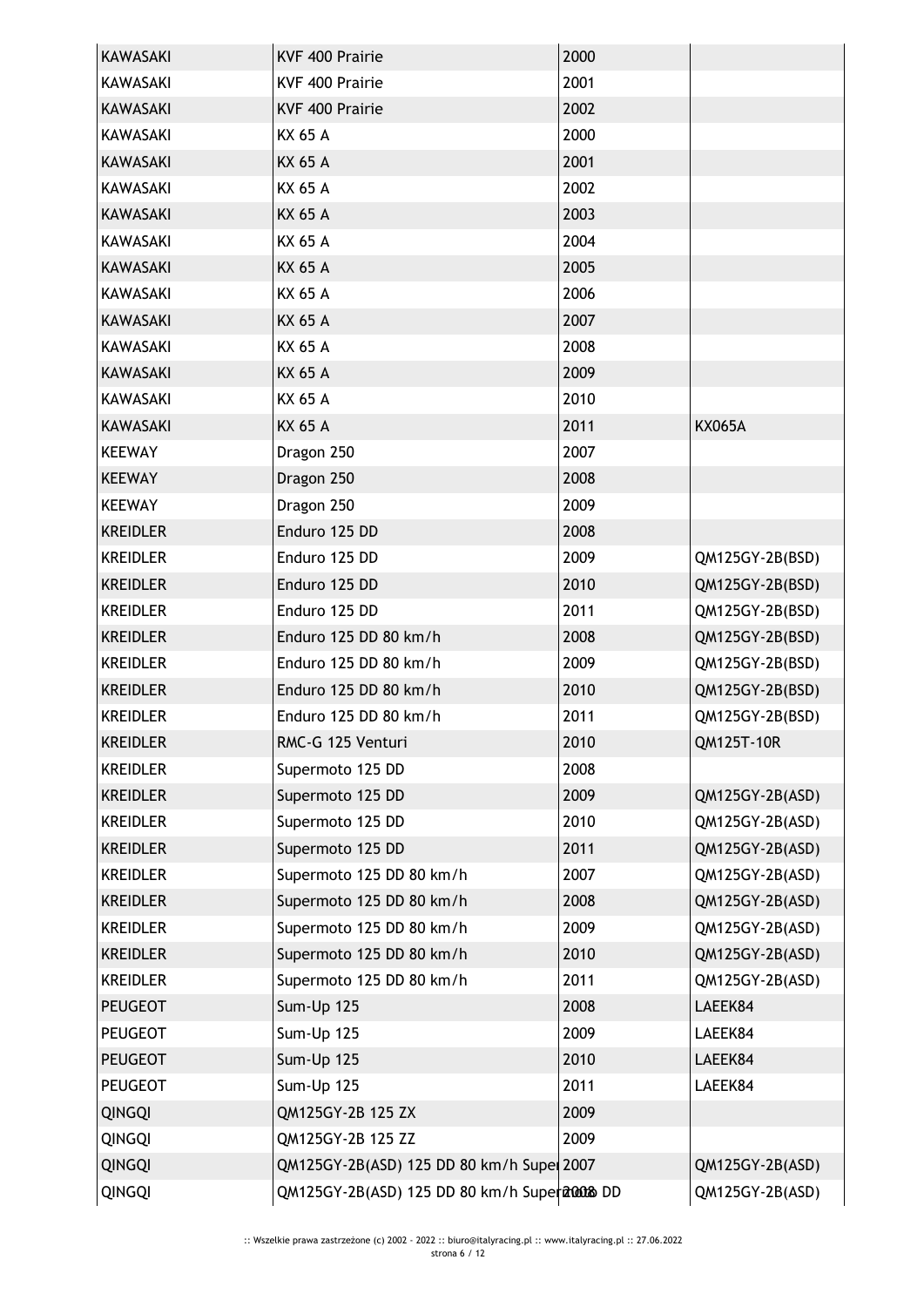| <b>KAWASAKI</b> | KVF 400 Prairie                               | 2000 |                 |
|-----------------|-----------------------------------------------|------|-----------------|
| KAWASAKI        | KVF 400 Prairie                               | 2001 |                 |
| <b>KAWASAKI</b> | KVF 400 Prairie                               | 2002 |                 |
| KAWASAKI        | KX 65 A                                       | 2000 |                 |
| <b>KAWASAKI</b> | <b>KX 65 A</b>                                | 2001 |                 |
| <b>KAWASAKI</b> | KX 65 A                                       | 2002 |                 |
| <b>KAWASAKI</b> | KX 65 A                                       | 2003 |                 |
| KAWASAKI        | KX 65 A                                       | 2004 |                 |
| <b>KAWASAKI</b> | <b>KX 65 A</b>                                | 2005 |                 |
| <b>KAWASAKI</b> | KX 65 A                                       | 2006 |                 |
| <b>KAWASAKI</b> | <b>KX 65 A</b>                                | 2007 |                 |
| <b>KAWASAKI</b> | KX 65 A                                       | 2008 |                 |
| <b>KAWASAKI</b> | KX 65 A                                       | 2009 |                 |
| KAWASAKI        | KX 65 A                                       | 2010 |                 |
| <b>KAWASAKI</b> | <b>KX 65 A</b>                                | 2011 | <b>KX065A</b>   |
| <b>KEEWAY</b>   | Dragon 250                                    | 2007 |                 |
| <b>KEEWAY</b>   | Dragon 250                                    | 2008 |                 |
| <b>KEEWAY</b>   | Dragon 250                                    | 2009 |                 |
| <b>KREIDLER</b> | Enduro 125 DD                                 | 2008 |                 |
| <b>KREIDLER</b> | Enduro 125 DD                                 | 2009 | QM125GY-2B(BSD) |
| <b>KREIDLER</b> | Enduro 125 DD                                 | 2010 | QM125GY-2B(BSD) |
| <b>KREIDLER</b> | Enduro 125 DD                                 | 2011 | QM125GY-2B(BSD) |
| <b>KREIDLER</b> | Enduro 125 DD 80 km/h                         | 2008 | QM125GY-2B(BSD) |
| <b>KREIDLER</b> | Enduro 125 DD 80 km/h                         | 2009 | QM125GY-2B(BSD) |
| <b>KREIDLER</b> | Enduro 125 DD 80 km/h                         | 2010 | QM125GY-2B(BSD) |
| <b>KREIDLER</b> | Enduro 125 DD 80 km/h                         | 2011 | QM125GY-2B(BSD) |
| <b>KREIDLER</b> | RMC-G 125 Venturi                             | 2010 | QM125T-10R      |
| <b>KREIDLER</b> | Supermoto 125 DD                              | 2008 |                 |
| <b>KREIDLER</b> | Supermoto 125 DD                              | 2009 | QM125GY-2B(ASD) |
| <b>KREIDLER</b> | Supermoto 125 DD                              | 2010 | QM125GY-2B(ASD) |
| <b>KREIDLER</b> | Supermoto 125 DD                              | 2011 | QM125GY-2B(ASD) |
| <b>KREIDLER</b> | Supermoto 125 DD 80 km/h                      | 2007 | QM125GY-2B(ASD) |
| <b>KREIDLER</b> | Supermoto 125 DD 80 km/h                      | 2008 | QM125GY-2B(ASD) |
| <b>KREIDLER</b> | Supermoto 125 DD 80 km/h                      | 2009 | QM125GY-2B(ASD) |
| <b>KREIDLER</b> | Supermoto 125 DD 80 km/h                      | 2010 | QM125GY-2B(ASD) |
| <b>KREIDLER</b> | Supermoto 125 DD 80 km/h                      | 2011 | QM125GY-2B(ASD) |
| <b>PEUGEOT</b>  | Sum-Up 125                                    | 2008 | LAEEK84         |
| <b>PEUGEOT</b>  | Sum-Up 125                                    | 2009 | LAEEK84         |
| <b>PEUGEOT</b>  | Sum-Up 125                                    | 2010 | LAEEK84         |
| <b>PEUGEOT</b>  | Sum-Up 125                                    | 2011 | LAEEK84         |
| <b>QINGQI</b>   | QM125GY-2B 125 ZX                             | 2009 |                 |
| <b>QINGQI</b>   | QM125GY-2B 125 ZZ                             | 2009 |                 |
| QINGQI          | QM125GY-2B(ASD) 125 DD 80 km/h Supe 2007      |      | QM125GY-2B(ASD) |
| QINGQI          | QM125GY-2B(ASD) 125 DD 80 km/h Supera20008 DD |      | QM125GY-2B(ASD) |
|                 |                                               |      |                 |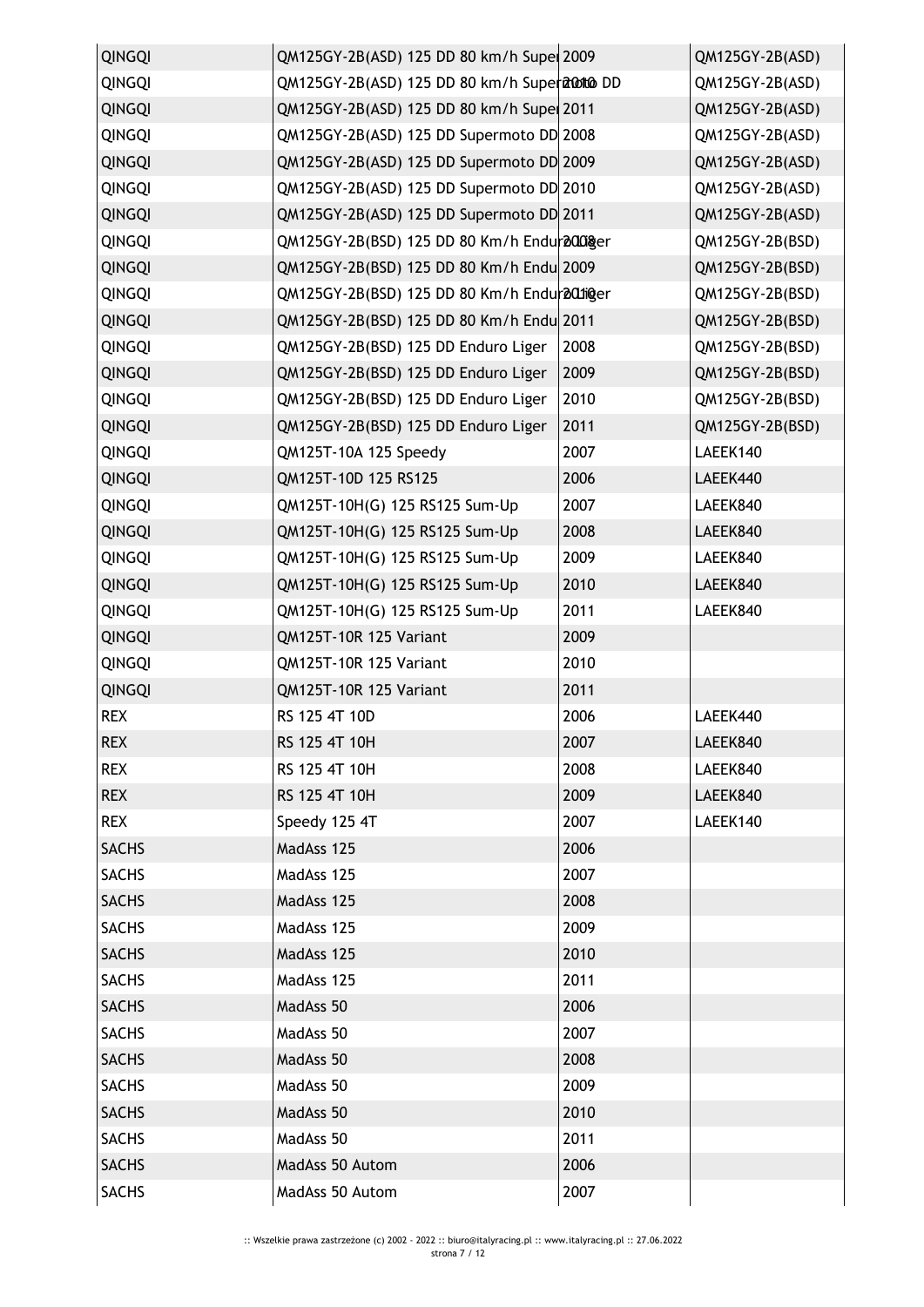| <b>QINGQI</b> | QM125GY-2B(ASD) 125 DD 80 km/h Supe 2009      |      | QM125GY-2B(ASD) |
|---------------|-----------------------------------------------|------|-----------------|
| <b>QINGQI</b> | QM125GY-2B(ASD) 125 DD 80 km/h Supera 00 DD   |      | QM125GY-2B(ASD) |
| <b>QINGQI</b> | QM125GY-2B(ASD) 125 DD 80 km/h Supe 2011      |      | QM125GY-2B(ASD) |
| QINGQI        | QM125GY-2B(ASD) 125 DD Supermoto DD 2008      |      | QM125GY-2B(ASD) |
| <b>QINGQI</b> | QM125GY-2B(ASD) 125 DD Supermoto DD 2009      |      | QM125GY-2B(ASD) |
| <b>QINGQI</b> | QM125GY-2B(ASD) 125 DD Supermoto DD 2010      |      | QM125GY-2B(ASD) |
| <b>QINGQI</b> | QM125GY-2B(ASD) 125 DD Supermoto DD 2011      |      | QM125GY-2B(ASD) |
| <b>QINGQI</b> | QM125GY-2B(BSD) 125 DD 80 Km/h Endur 2008 ger |      | QM125GY-2B(BSD) |
| QINGQI        | QM125GY-2B(BSD) 125 DD 80 Km/h Endu 2009      |      | QM125GY-2B(BSD) |
| <b>QINGQI</b> | QM125GY-2B(BSD) 125 DD 80 Km/h Endur 201inger |      | QM125GY-2B(BSD) |
| QINGQI        | QM125GY-2B(BSD) 125 DD 80 Km/h Endu 2011      |      | QM125GY-2B(BSD) |
| <b>QINGQI</b> | QM125GY-2B(BSD) 125 DD Enduro Liger           | 2008 | QM125GY-2B(BSD) |
| <b>QINGQI</b> | QM125GY-2B(BSD) 125 DD Enduro Liger           | 2009 | QM125GY-2B(BSD) |
| <b>QINGQI</b> | QM125GY-2B(BSD) 125 DD Enduro Liger           | 2010 | QM125GY-2B(BSD) |
| <b>QINGQI</b> | QM125GY-2B(BSD) 125 DD Enduro Liger           | 2011 | QM125GY-2B(BSD) |
| <b>QINGQI</b> | QM125T-10A 125 Speedy                         | 2007 | LAEEK140        |
| <b>QINGQI</b> | QM125T-10D 125 RS125                          | 2006 | LAEEK440        |
| <b>QINGQI</b> | QM125T-10H(G) 125 RS125 Sum-Up                | 2007 | LAEEK840        |
| <b>QINGQI</b> | QM125T-10H(G) 125 RS125 Sum-Up                | 2008 | LAEEK840        |
| <b>QINGQI</b> | QM125T-10H(G) 125 RS125 Sum-Up                | 2009 | LAEEK840        |
| QINGQI        | QM125T-10H(G) 125 RS125 Sum-Up                | 2010 | LAEEK840        |
| <b>QINGQI</b> | QM125T-10H(G) 125 RS125 Sum-Up                | 2011 | LAEEK840        |
| <b>QINGQI</b> | QM125T-10R 125 Variant                        | 2009 |                 |
| <b>QINGQI</b> | QM125T-10R 125 Variant                        | 2010 |                 |
| <b>QINGQI</b> | QM125T-10R 125 Variant                        | 2011 |                 |
| <b>REX</b>    | RS 125 4T 10D                                 | 2006 | LAEEK440        |
| <b>REX</b>    | RS 125 4T 10H                                 | 2007 | LAEEK840        |
| <b>REX</b>    | RS 125 4T 10H                                 | 2008 | LAEEK840        |
| <b>REX</b>    | RS 125 4T 10H                                 | 2009 | LAEEK840        |
| <b>REX</b>    | Speedy 125 4T                                 | 2007 | LAEEK140        |
| <b>SACHS</b>  | MadAss 125                                    | 2006 |                 |
| <b>SACHS</b>  | MadAss 125                                    | 2007 |                 |
| <b>SACHS</b>  | MadAss 125                                    | 2008 |                 |
| <b>SACHS</b>  | MadAss 125                                    | 2009 |                 |
| <b>SACHS</b>  | MadAss 125                                    | 2010 |                 |
| <b>SACHS</b>  | MadAss 125                                    | 2011 |                 |
| <b>SACHS</b>  | MadAss 50                                     | 2006 |                 |
| <b>SACHS</b>  | MadAss 50                                     | 2007 |                 |
| <b>SACHS</b>  | MadAss 50                                     | 2008 |                 |
| <b>SACHS</b>  | MadAss 50                                     | 2009 |                 |
| <b>SACHS</b>  | MadAss 50                                     | 2010 |                 |
| <b>SACHS</b>  | MadAss 50                                     | 2011 |                 |
| <b>SACHS</b>  | MadAss 50 Autom                               | 2006 |                 |
| <b>SACHS</b>  | MadAss 50 Autom                               | 2007 |                 |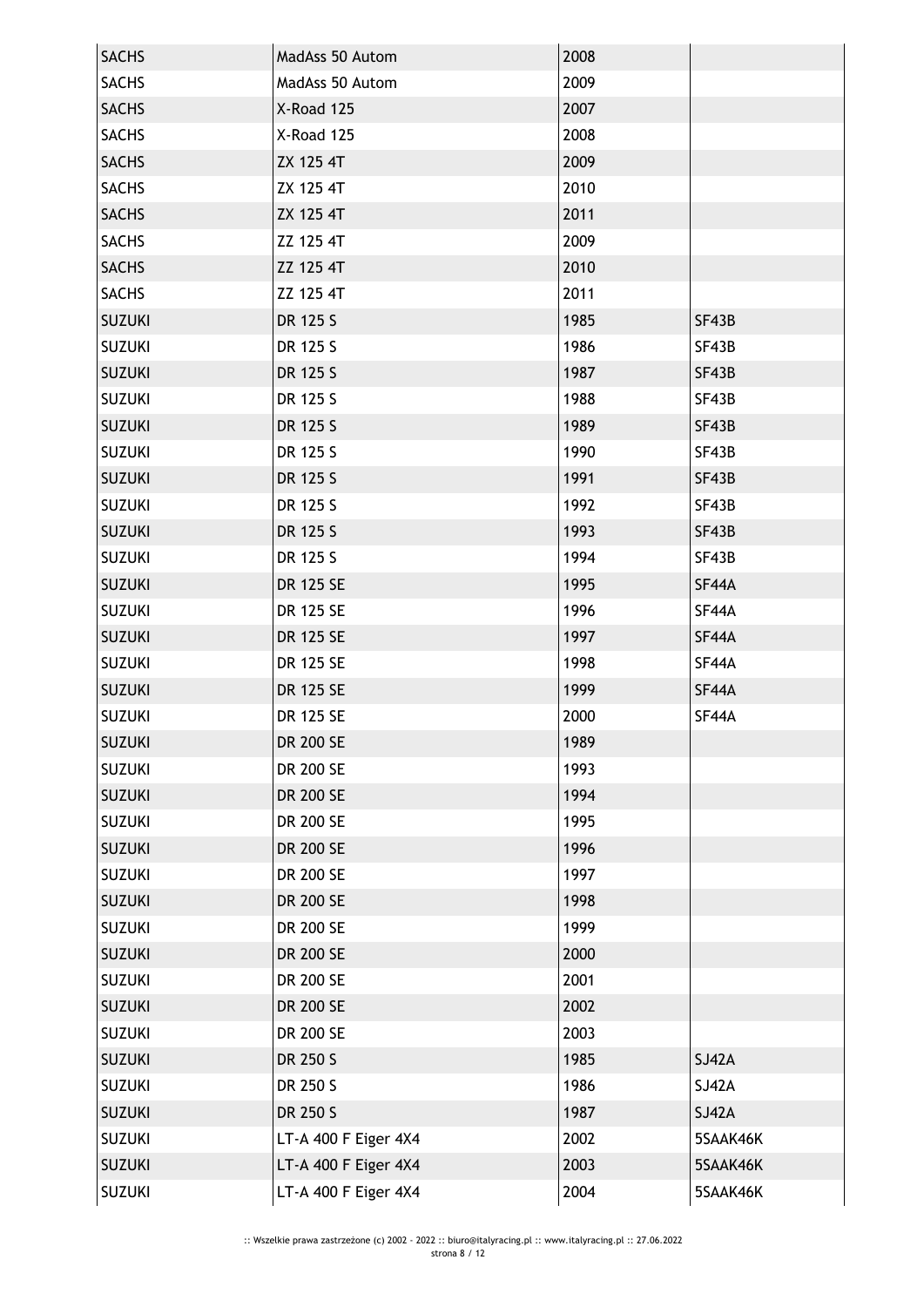| <b>SACHS</b>  | MadAss 50 Autom      | 2008 |              |
|---------------|----------------------|------|--------------|
| <b>SACHS</b>  | MadAss 50 Autom      | 2009 |              |
| <b>SACHS</b>  | X-Road 125           | 2007 |              |
| <b>SACHS</b>  | X-Road 125           | 2008 |              |
| <b>SACHS</b>  | ZX 125 4T            | 2009 |              |
| <b>SACHS</b>  | ZX 125 4T            | 2010 |              |
| <b>SACHS</b>  | ZX 125 4T            | 2011 |              |
| <b>SACHS</b>  | ZZ 125 4T            | 2009 |              |
| <b>SACHS</b>  | ZZ 125 4T            | 2010 |              |
| <b>SACHS</b>  | ZZ 125 4T            | 2011 |              |
| <b>SUZUKI</b> | DR 125 S             | 1985 | SF43B        |
| <b>SUZUKI</b> | DR 125 S             | 1986 | SF43B        |
| <b>SUZUKI</b> | DR 125 S             | 1987 | SF43B        |
| <b>SUZUKI</b> | DR 125 S             | 1988 | SF43B        |
| <b>SUZUKI</b> | DR 125 S             | 1989 | SF43B        |
| <b>SUZUKI</b> | DR 125 S             | 1990 | SF43B        |
| <b>SUZUKI</b> | DR 125 S             | 1991 | SF43B        |
| <b>SUZUKI</b> | DR 125 S             | 1992 | SF43B        |
| <b>SUZUKI</b> | DR 125 S             | 1993 | SF43B        |
| <b>SUZUKI</b> | DR 125 S             | 1994 | SF43B        |
| <b>SUZUKI</b> | DR 125 SE            | 1995 | SF44A        |
| <b>SUZUKI</b> | DR 125 SE            | 1996 | SF44A        |
| <b>SUZUKI</b> | DR 125 SE            | 1997 | SF44A        |
| <b>SUZUKI</b> | DR 125 SE            | 1998 | SF44A        |
| <b>SUZUKI</b> | DR 125 SE            | 1999 | SF44A        |
| <b>SUZUKI</b> | DR 125 SE            | 2000 | SF44A        |
| <b>SUZUKI</b> | <b>DR 200 SE</b>     | 1989 |              |
| <b>SUZUKI</b> | DR 200 SE            | 1993 |              |
| <b>SUZUKI</b> | DR 200 SE            | 1994 |              |
| <b>SUZUKI</b> | DR 200 SE            | 1995 |              |
| <b>SUZUKI</b> | <b>DR 200 SE</b>     | 1996 |              |
| <b>SUZUKI</b> | DR 200 SE            | 1997 |              |
| <b>SUZUKI</b> | DR 200 SE            | 1998 |              |
| <b>SUZUKI</b> | DR 200 SE            | 1999 |              |
| <b>SUZUKI</b> | DR 200 SE            | 2000 |              |
| <b>SUZUKI</b> | DR 200 SE            | 2001 |              |
| <b>SUZUKI</b> | DR 200 SE            | 2002 |              |
| <b>SUZUKI</b> | DR 200 SE            | 2003 |              |
| <b>SUZUKI</b> | DR 250 S             | 1985 | <b>SJ42A</b> |
| <b>SUZUKI</b> | DR 250 S             | 1986 | <b>SJ42A</b> |
| <b>SUZUKI</b> | DR 250 S             | 1987 | <b>SJ42A</b> |
| <b>SUZUKI</b> | LT-A 400 F Eiger 4X4 | 2002 | 5SAAK46K     |
| <b>SUZUKI</b> | LT-A 400 F Eiger 4X4 | 2003 | 5SAAK46K     |
| <b>SUZUKI</b> | LT-A 400 F Eiger 4X4 | 2004 | 5SAAK46K     |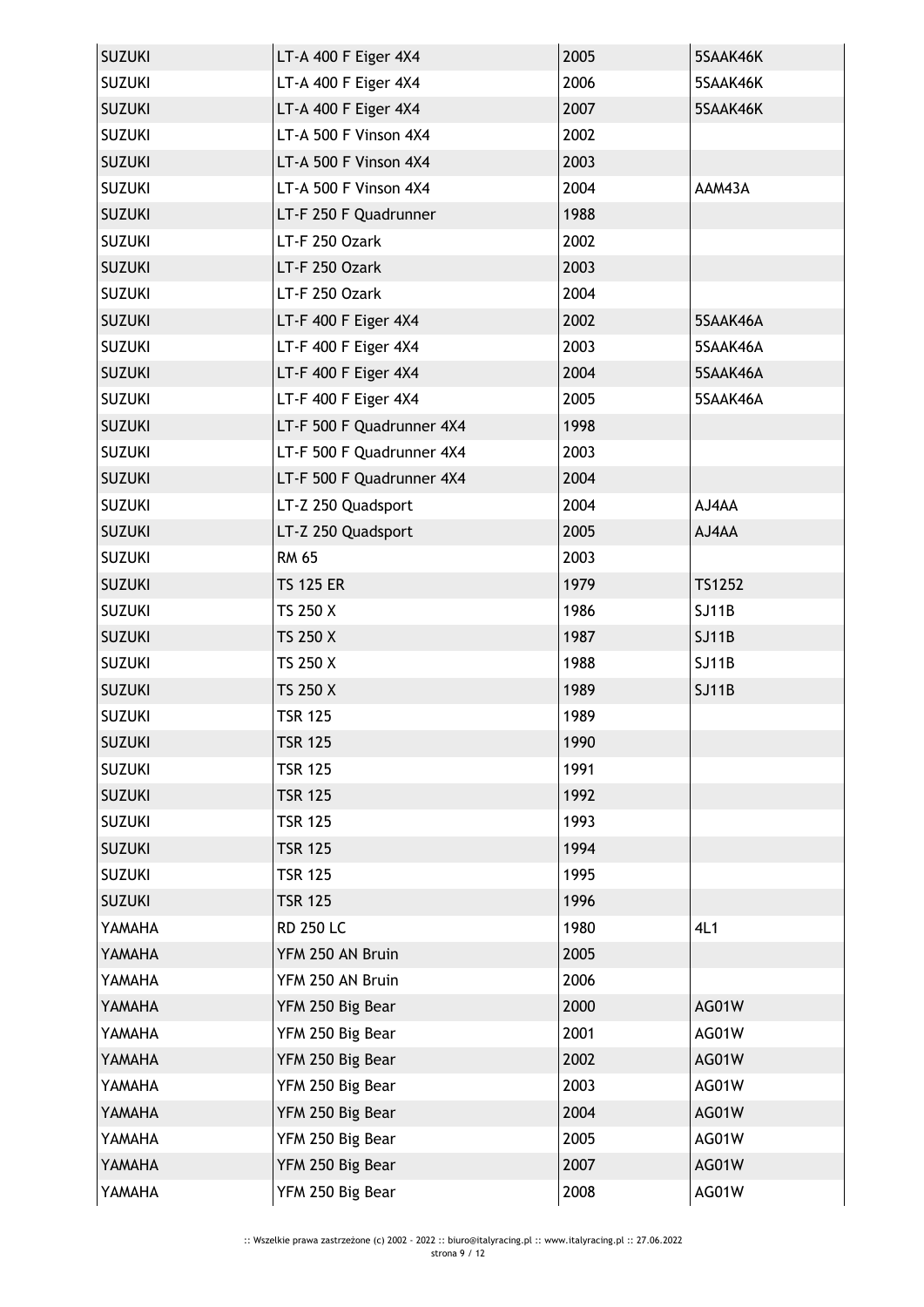| <b>SUZUKI</b> | LT-A 400 F Eiger 4X4      | 2005 | 5SAAK46K     |
|---------------|---------------------------|------|--------------|
| <b>SUZUKI</b> | LT-A 400 F Eiger 4X4      | 2006 | 5SAAK46K     |
| <b>SUZUKI</b> | LT-A 400 F Eiger 4X4      | 2007 | 5SAAK46K     |
| <b>SUZUKI</b> | LT-A 500 F Vinson 4X4     | 2002 |              |
| <b>SUZUKI</b> | LT-A 500 F Vinson 4X4     | 2003 |              |
| <b>SUZUKI</b> | LT-A 500 F Vinson 4X4     | 2004 | AAM43A       |
| <b>SUZUKI</b> | LT-F 250 F Quadrunner     | 1988 |              |
| <b>SUZUKI</b> | LT-F 250 Ozark            | 2002 |              |
| <b>SUZUKI</b> | LT-F 250 Ozark            | 2003 |              |
| <b>SUZUKI</b> | LT-F 250 Ozark            | 2004 |              |
| <b>SUZUKI</b> | LT-F 400 F Eiger 4X4      | 2002 | 5SAAK46A     |
| <b>SUZUKI</b> | LT-F 400 F Eiger 4X4      | 2003 | 5SAAK46A     |
| <b>SUZUKI</b> | LT-F 400 F Eiger 4X4      | 2004 | 5SAAK46A     |
| <b>SUZUKI</b> | LT-F 400 F Eiger 4X4      | 2005 | 5SAAK46A     |
| <b>SUZUKI</b> | LT-F 500 F Quadrunner 4X4 | 1998 |              |
| <b>SUZUKI</b> | LT-F 500 F Quadrunner 4X4 | 2003 |              |
| <b>SUZUKI</b> | LT-F 500 F Quadrunner 4X4 | 2004 |              |
| <b>SUZUKI</b> | LT-Z 250 Quadsport        | 2004 | AJ4AA        |
| <b>SUZUKI</b> | LT-Z 250 Quadsport        | 2005 | AJ4AA        |
| <b>SUZUKI</b> | <b>RM 65</b>              | 2003 |              |
| <b>SUZUKI</b> | <b>TS 125 ER</b>          | 1979 | TS1252       |
| <b>SUZUKI</b> | TS 250 X                  | 1986 | SJ11B        |
| <b>SUZUKI</b> | TS 250 X                  | 1987 | <b>SJ11B</b> |
| <b>SUZUKI</b> | TS 250 X                  | 1988 | <b>SJ11B</b> |
| <b>SUZUKI</b> | TS 250 X                  | 1989 | <b>SJ11B</b> |
| <b>SUZUKI</b> | <b>TSR 125</b>            | 1989 |              |
| <b>SUZUKI</b> | <b>TSR 125</b>            | 1990 |              |
| <b>SUZUKI</b> | <b>TSR 125</b>            | 1991 |              |
| <b>SUZUKI</b> | <b>TSR 125</b>            | 1992 |              |
| <b>SUZUKI</b> | <b>TSR 125</b>            | 1993 |              |
| <b>SUZUKI</b> | <b>TSR 125</b>            | 1994 |              |
| <b>SUZUKI</b> | <b>TSR 125</b>            | 1995 |              |
| <b>SUZUKI</b> | <b>TSR 125</b>            | 1996 |              |
| YAMAHA        | <b>RD 250 LC</b>          | 1980 | 4L1          |
| YAMAHA        | YFM 250 AN Bruin          | 2005 |              |
| YAMAHA        | YFM 250 AN Bruin          | 2006 |              |
| YAMAHA        | YFM 250 Big Bear          | 2000 | AG01W        |
| YAMAHA        | YFM 250 Big Bear          | 2001 | AG01W        |
| YAMAHA        | YFM 250 Big Bear          | 2002 | AG01W        |
| YAMAHA        | YFM 250 Big Bear          | 2003 | AG01W        |
| YAMAHA        | YFM 250 Big Bear          | 2004 | AG01W        |
| YAMAHA        | YFM 250 Big Bear          | 2005 | AG01W        |
| YAMAHA        | YFM 250 Big Bear          | 2007 | AG01W        |
| YAMAHA        | YFM 250 Big Bear          | 2008 | AG01W        |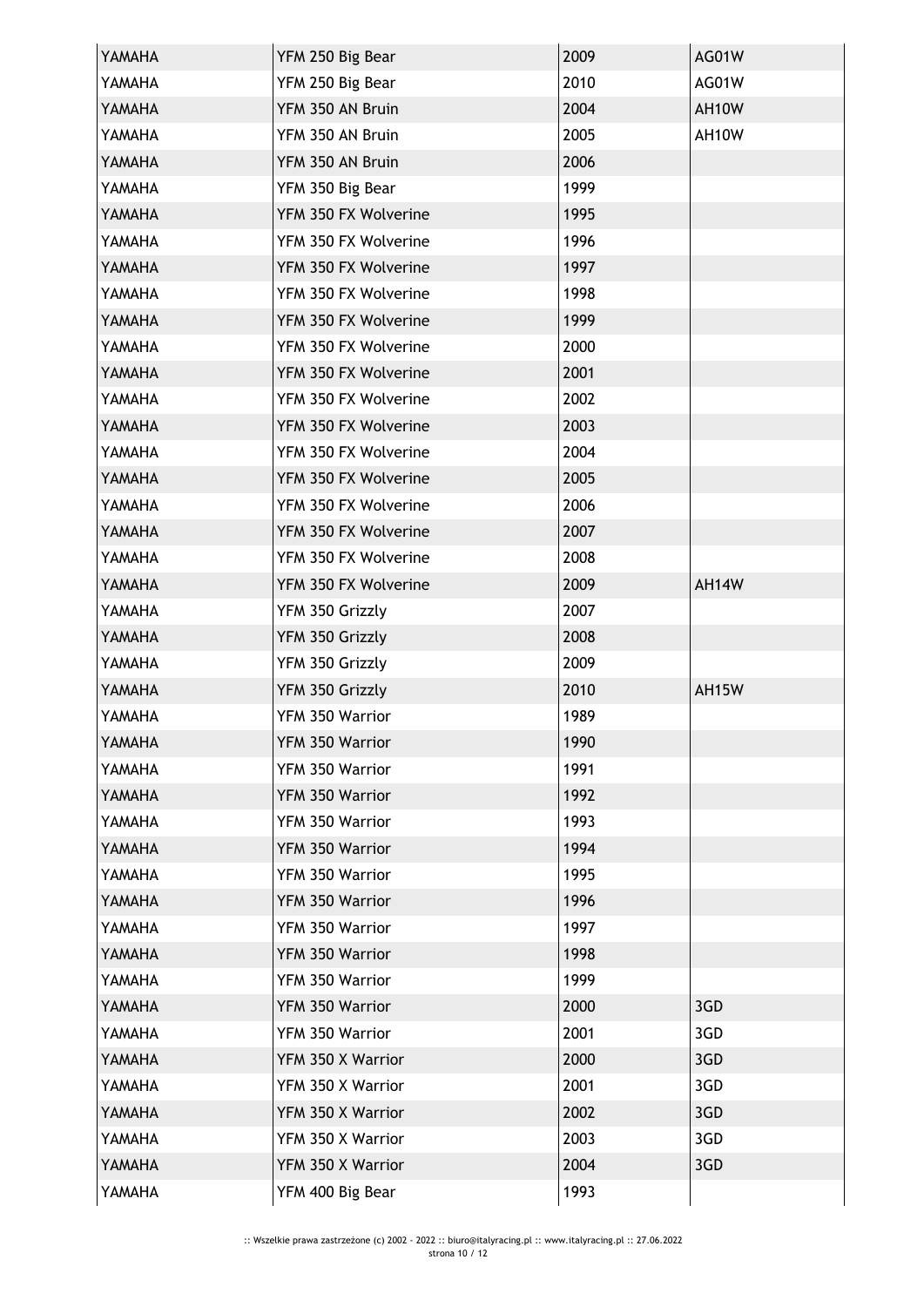| YAMAHA | YFM 250 Big Bear     | 2009 | AG01W |
|--------|----------------------|------|-------|
| YAMAHA | YFM 250 Big Bear     | 2010 | AG01W |
| YAMAHA | YFM 350 AN Bruin     | 2004 | AH10W |
| YAMAHA | YFM 350 AN Bruin     | 2005 | AH10W |
| YAMAHA | YFM 350 AN Bruin     | 2006 |       |
| YAMAHA | YFM 350 Big Bear     | 1999 |       |
| YAMAHA | YFM 350 FX Wolverine | 1995 |       |
| YAMAHA | YFM 350 FX Wolverine | 1996 |       |
| YAMAHA | YFM 350 FX Wolverine | 1997 |       |
| YAMAHA | YFM 350 FX Wolverine | 1998 |       |
| YAMAHA | YFM 350 FX Wolverine | 1999 |       |
| YAMAHA | YFM 350 FX Wolverine | 2000 |       |
| YAMAHA | YFM 350 FX Wolverine | 2001 |       |
| YAMAHA | YFM 350 FX Wolverine | 2002 |       |
| YAMAHA | YFM 350 FX Wolverine | 2003 |       |
| YAMAHA | YFM 350 FX Wolverine | 2004 |       |
| YAMAHA | YFM 350 FX Wolverine | 2005 |       |
| YAMAHA | YFM 350 FX Wolverine | 2006 |       |
| YAMAHA | YFM 350 FX Wolverine | 2007 |       |
| YAMAHA | YFM 350 FX Wolverine | 2008 |       |
| YAMAHA | YFM 350 FX Wolverine | 2009 | AH14W |
| YAMAHA | YFM 350 Grizzly      | 2007 |       |
| YAMAHA | YFM 350 Grizzly      | 2008 |       |
| YAMAHA | YFM 350 Grizzly      | 2009 |       |
| YAMAHA | YFM 350 Grizzly      | 2010 | AH15W |
| YAMAHA | YFM 350 Warrior      | 1989 |       |
| YAMAHA | YFM 350 Warrior      | 1990 |       |
| YAMAHA | YFM 350 Warrior      | 1991 |       |
| YAMAHA | YFM 350 Warrior      | 1992 |       |
| YAMAHA | YFM 350 Warrior      | 1993 |       |
| YAMAHA | YFM 350 Warrior      | 1994 |       |
| YAMAHA | YFM 350 Warrior      | 1995 |       |
| YAMAHA | YFM 350 Warrior      | 1996 |       |
| YAMAHA | YFM 350 Warrior      | 1997 |       |
| YAMAHA | YFM 350 Warrior      | 1998 |       |
| YAMAHA | YFM 350 Warrior      | 1999 |       |
| YAMAHA | YFM 350 Warrior      | 2000 | 3GD   |
| YAMAHA | YFM 350 Warrior      | 2001 | 3GD   |
| YAMAHA | YFM 350 X Warrior    | 2000 | 3GD   |
| YAMAHA | YFM 350 X Warrior    | 2001 | 3GD   |
| YAMAHA | YFM 350 X Warrior    | 2002 | 3GD   |
| YAMAHA | YFM 350 X Warrior    | 2003 | 3GD   |
| YAMAHA | YFM 350 X Warrior    | 2004 | 3GD   |
| YAMAHA | YFM 400 Big Bear     | 1993 |       |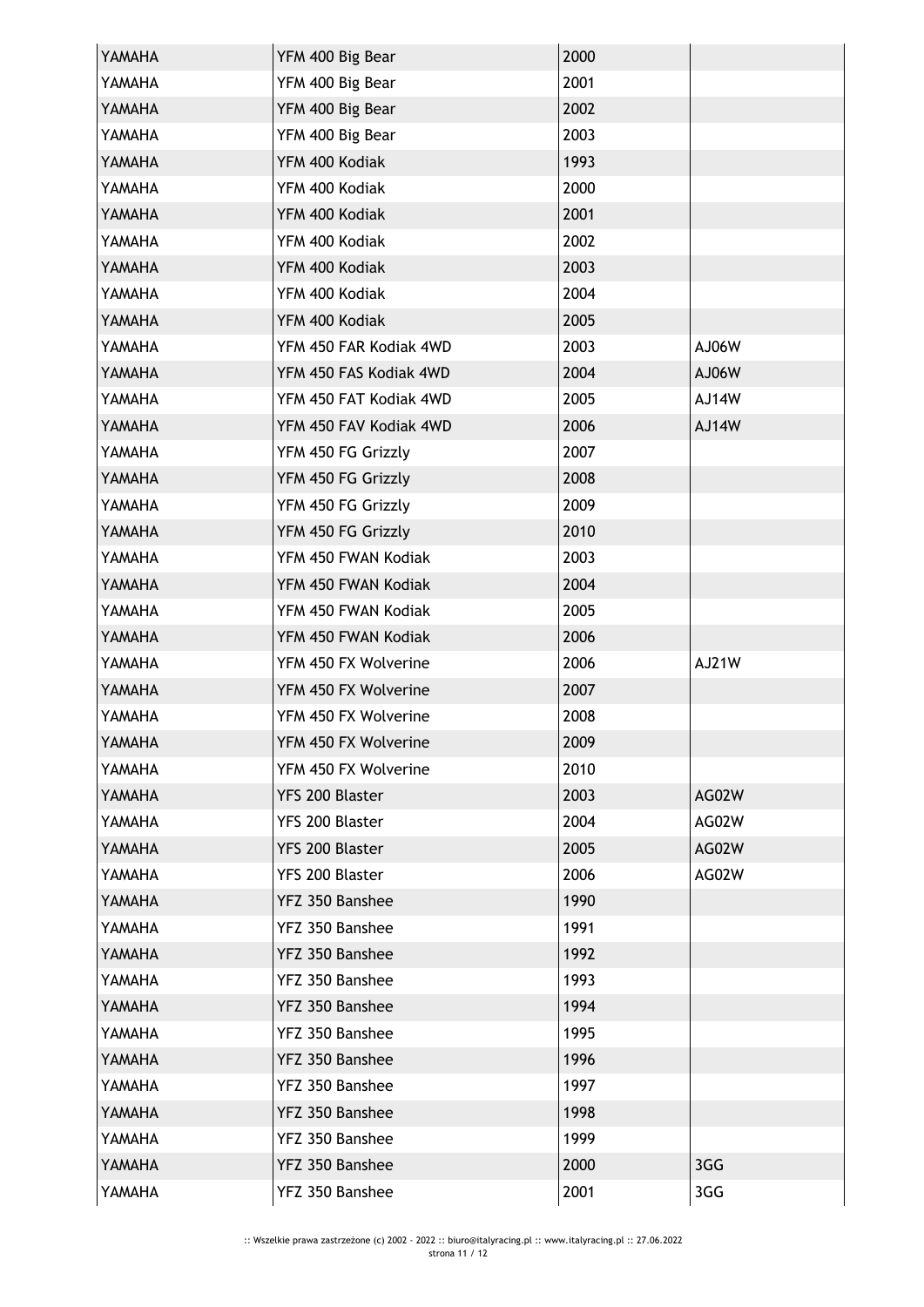| YAMAHA | YFM 400 Big Bear       | 2000 |       |
|--------|------------------------|------|-------|
| YAMAHA | YFM 400 Big Bear       | 2001 |       |
| YAMAHA | YFM 400 Big Bear       | 2002 |       |
| YAMAHA | YFM 400 Big Bear       | 2003 |       |
| YAMAHA | YFM 400 Kodiak         | 1993 |       |
| YAMAHA | YFM 400 Kodiak         | 2000 |       |
| YAMAHA | YFM 400 Kodiak         | 2001 |       |
| YAMAHA | YFM 400 Kodiak         | 2002 |       |
| YAMAHA | YFM 400 Kodiak         | 2003 |       |
| YAMAHA | YFM 400 Kodiak         | 2004 |       |
| YAMAHA | YFM 400 Kodiak         | 2005 |       |
| YAMAHA | YFM 450 FAR Kodiak 4WD | 2003 | AJ06W |
| YAMAHA | YFM 450 FAS Kodiak 4WD | 2004 | AJ06W |
| YAMAHA | YFM 450 FAT Kodiak 4WD | 2005 | AJ14W |
| YAMAHA | YFM 450 FAV Kodiak 4WD | 2006 | AJ14W |
| YAMAHA | YFM 450 FG Grizzly     | 2007 |       |
| YAMAHA | YFM 450 FG Grizzly     | 2008 |       |
| YAMAHA | YFM 450 FG Grizzly     | 2009 |       |
| YAMAHA | YFM 450 FG Grizzly     | 2010 |       |
| YAMAHA | YFM 450 FWAN Kodiak    | 2003 |       |
| YAMAHA | YFM 450 FWAN Kodiak    | 2004 |       |
| YAMAHA | YFM 450 FWAN Kodiak    | 2005 |       |
| YAMAHA | YFM 450 FWAN Kodiak    | 2006 |       |
| YAMAHA | YFM 450 FX Wolverine   | 2006 | AJ21W |
| YAMAHA | YFM 450 FX Wolverine   | 2007 |       |
| YAMAHA | YFM 450 FX Wolverine   | 2008 |       |
| YAMAHA | YFM 450 FX Wolverine   | 2009 |       |
| YAMAHA | YFM 450 FX Wolverine   | 2010 |       |
| YAMAHA | YFS 200 Blaster        | 2003 | AG02W |
| YAMAHA | YFS 200 Blaster        | 2004 | AG02W |
| YAMAHA | YFS 200 Blaster        | 2005 | AG02W |
| YAMAHA | YFS 200 Blaster        | 2006 | AG02W |
| YAMAHA | YFZ 350 Banshee        | 1990 |       |
| YAMAHA | YFZ 350 Banshee        | 1991 |       |
| YAMAHA | YFZ 350 Banshee        | 1992 |       |
| YAMAHA | YFZ 350 Banshee        | 1993 |       |
| YAMAHA | YFZ 350 Banshee        | 1994 |       |
| YAMAHA | YFZ 350 Banshee        | 1995 |       |
| YAMAHA | YFZ 350 Banshee        | 1996 |       |
| YAMAHA | YFZ 350 Banshee        | 1997 |       |
| YAMAHA | YFZ 350 Banshee        | 1998 |       |
| YAMAHA | YFZ 350 Banshee        | 1999 |       |
| YAMAHA | YFZ 350 Banshee        | 2000 | 3GG   |
| YAMAHA | YFZ 350 Banshee        | 2001 | 3GG   |